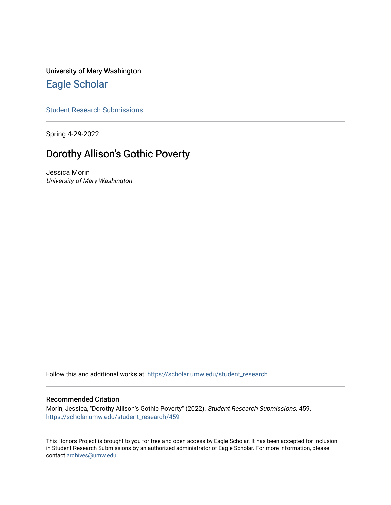University of Mary Washington [Eagle Scholar](https://scholar.umw.edu/) 

[Student Research Submissions](https://scholar.umw.edu/student_research) 

Spring 4-29-2022

# Dorothy Allison's Gothic Poverty

Jessica Morin University of Mary Washington

Follow this and additional works at: [https://scholar.umw.edu/student\\_research](https://scholar.umw.edu/student_research?utm_source=scholar.umw.edu%2Fstudent_research%2F459&utm_medium=PDF&utm_campaign=PDFCoverPages)

## Recommended Citation

Morin, Jessica, "Dorothy Allison's Gothic Poverty" (2022). Student Research Submissions. 459. [https://scholar.umw.edu/student\\_research/459](https://scholar.umw.edu/student_research/459?utm_source=scholar.umw.edu%2Fstudent_research%2F459&utm_medium=PDF&utm_campaign=PDFCoverPages)

This Honors Project is brought to you for free and open access by Eagle Scholar. It has been accepted for inclusion in Student Research Submissions by an authorized administrator of Eagle Scholar. For more information, please contact [archives@umw.edu](mailto:archives@umw.edu).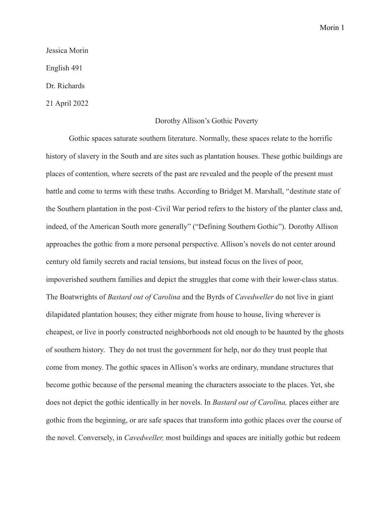#### Jessica Morin

English 491

Dr. Richards

21 April 2022

## Dorothy Allison's Gothic Poverty

Gothic spaces saturate southern literature. Normally, these spaces relate to the horrific history of slavery in the South and are sites such as plantation houses. These gothic buildings are places of contention, where secrets of the past are revealed and the people of the present must battle and come to terms with these truths. According to Bridget M. Marshall, "destitute state of the Southern plantation in the post–Civil War period refers to the history of the planter class and, indeed, of the American South more generally" ("Defining Southern Gothic"). Dorothy Allison approaches the gothic from a more personal perspective. Allison's novels do not center around century old family secrets and racial tensions, but instead focus on the lives of poor, impoverished southern families and depict the struggles that come with their lower-class status. The Boatwrights of *Bastard out of Carolina* and the Byrds of *Cavedweller* do not live in giant dilapidated plantation houses; they either migrate from house to house, living wherever is cheapest, or live in poorly constructed neighborhoods not old enough to be haunted by the ghosts of southern history. They do not trust the government for help, nor do they trust people that come from money. The gothic spaces in Allison's works are ordinary, mundane structures that become gothic because of the personal meaning the characters associate to the places. Yet, she does not depict the gothic identically in her novels. In *Bastard out of Carolina,* places either are gothic from the beginning, or are safe spaces that transform into gothic places over the course of the novel. Conversely, in *Cavedweller,* most buildings and spaces are initially gothic but redeem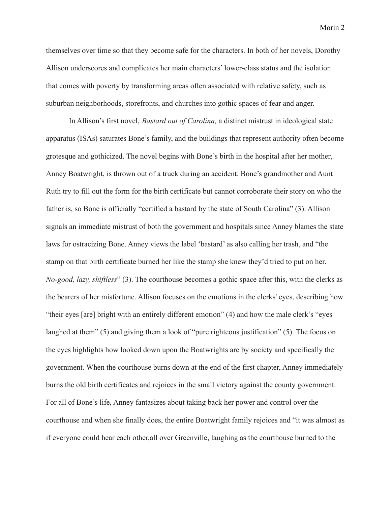themselves over time so that they become safe for the characters. In both of her novels, Dorothy Allison underscores and complicates her main characters' lower-class status and the isolation that comes with poverty by transforming areas often associated with relative safety, such as suburban neighborhoods, storefronts, and churches into gothic spaces of fear and anger.

In Allison's first novel, *Bastard out of Carolina,* a distinct mistrust in ideological state apparatus (ISAs) saturates Bone's family, and the buildings that represent authority often become grotesque and gothicized. The novel begins with Bone's birth in the hospital after her mother, Anney Boatwright, is thrown out of a truck during an accident. Bone's grandmother and Aunt Ruth try to fill out the form for the birth certificate but cannot corroborate their story on who the father is, so Bone is officially "certified a bastard by the state of South Carolina" (3). Allison signals an immediate mistrust of both the government and hospitals since Anney blames the state laws for ostracizing Bone. Anney views the label 'bastard' as also calling her trash, and "the stamp on that birth certificate burned her like the stamp she knew they'd tried to put on her. *No-good, lazy, shiftless*" (3). The courthouse becomes a gothic space after this, with the clerks as the bearers of her misfortune. Allison focuses on the emotions in the clerks' eyes, describing how "their eyes [are] bright with an entirely different emotion" (4) and how the male clerk's "eyes laughed at them" (5) and giving them a look of "pure righteous justification" (5). The focus on the eyes highlights how looked down upon the Boatwrights are by society and specifically the government. When the courthouse burns down at the end of the first chapter, Anney immediately burns the old birth certificates and rejoices in the small victory against the county government. For all of Bone's life, Anney fantasizes about taking back her power and control over the courthouse and when she finally does, the entire Boatwright family rejoices and "it was almost as if everyone could hear each other,all over Greenville, laughing as the courthouse burned to the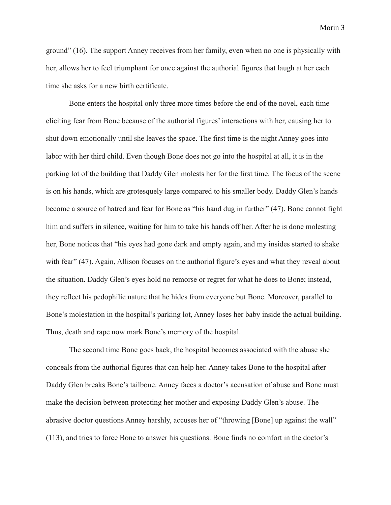ground" (16). The support Anney receives from her family, even when no one is physically with her, allows her to feel triumphant for once against the authorial figures that laugh at her each time she asks for a new birth certificate.

Bone enters the hospital only three more times before the end of the novel, each time eliciting fear from Bone because of the authorial figures' interactions with her, causing her to shut down emotionally until she leaves the space. The first time is the night Anney goes into labor with her third child. Even though Bone does not go into the hospital at all, it is in the parking lot of the building that Daddy Glen molests her for the first time. The focus of the scene is on his hands, which are grotesquely large compared to his smaller body. Daddy Glen's hands become a source of hatred and fear for Bone as "his hand dug in further" (47). Bone cannot fight him and suffers in silence, waiting for him to take his hands off her. After he is done molesting her, Bone notices that "his eyes had gone dark and empty again, and my insides started to shake with fear" (47). Again, Allison focuses on the authorial figure's eyes and what they reveal about the situation. Daddy Glen's eyes hold no remorse or regret for what he does to Bone; instead, they reflect his pedophilic nature that he hides from everyone but Bone. Moreover, parallel to Bone's molestation in the hospital's parking lot, Anney loses her baby inside the actual building. Thus, death and rape now mark Bone's memory of the hospital.

The second time Bone goes back, the hospital becomes associated with the abuse she conceals from the authorial figures that can help her. Anney takes Bone to the hospital after Daddy Glen breaks Bone's tailbone. Anney faces a doctor's accusation of abuse and Bone must make the decision between protecting her mother and exposing Daddy Glen's abuse. The abrasive doctor questions Anney harshly, accuses her of "throwing [Bone] up against the wall" (113), and tries to force Bone to answer his questions. Bone finds no comfort in the doctor's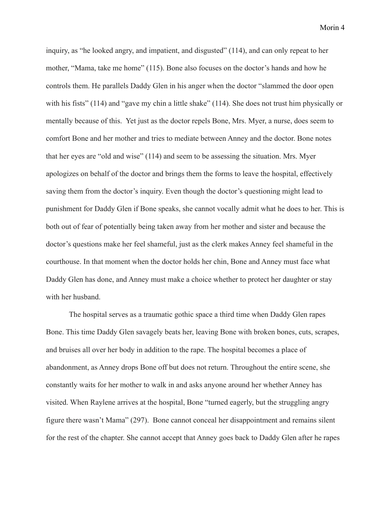inquiry, as "he looked angry, and impatient, and disgusted" (114), and can only repeat to her mother, "Mama, take me home" (115). Bone also focuses on the doctor's hands and how he controls them. He parallels Daddy Glen in his anger when the doctor "slammed the door open with his fists" (114) and "gave my chin a little shake" (114). She does not trust him physically or mentally because of this. Yet just as the doctor repels Bone, Mrs. Myer, a nurse, does seem to comfort Bone and her mother and tries to mediate between Anney and the doctor. Bone notes that her eyes are "old and wise" (114) and seem to be assessing the situation. Mrs. Myer apologizes on behalf of the doctor and brings them the forms to leave the hospital, effectively saving them from the doctor's inquiry. Even though the doctor's questioning might lead to punishment for Daddy Glen if Bone speaks, she cannot vocally admit what he does to her. This is both out of fear of potentially being taken away from her mother and sister and because the doctor's questions make her feel shameful, just as the clerk makes Anney feel shameful in the courthouse. In that moment when the doctor holds her chin, Bone and Anney must face what Daddy Glen has done, and Anney must make a choice whether to protect her daughter or stay with her husband.

The hospital serves as a traumatic gothic space a third time when Daddy Glen rapes Bone. This time Daddy Glen savagely beats her, leaving Bone with broken bones, cuts, scrapes, and bruises all over her body in addition to the rape. The hospital becomes a place of abandonment, as Anney drops Bone off but does not return. Throughout the entire scene, she constantly waits for her mother to walk in and asks anyone around her whether Anney has visited. When Raylene arrives at the hospital, Bone "turned eagerly, but the struggling angry figure there wasn't Mama" (297). Bone cannot conceal her disappointment and remains silent for the rest of the chapter. She cannot accept that Anney goes back to Daddy Glen after he rapes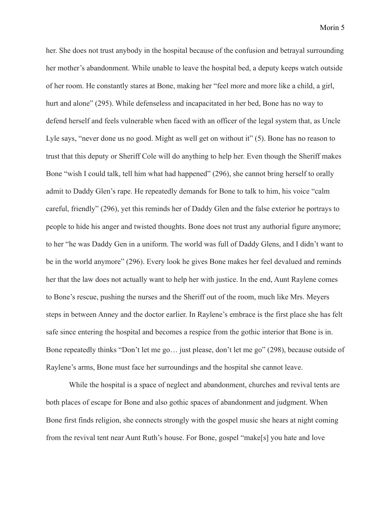her. She does not trust anybody in the hospital because of the confusion and betrayal surrounding her mother's abandonment. While unable to leave the hospital bed, a deputy keeps watch outside of her room. He constantly stares at Bone, making her "feel more and more like a child, a girl, hurt and alone" (295). While defenseless and incapacitated in her bed, Bone has no way to defend herself and feels vulnerable when faced with an officer of the legal system that, as Uncle Lyle says, "never done us no good. Might as well get on without it" (5). Bone has no reason to trust that this deputy or Sheriff Cole will do anything to help her. Even though the Sheriff makes Bone "wish I could talk, tell him what had happened" (296), she cannot bring herself to orally admit to Daddy Glen's rape. He repeatedly demands for Bone to talk to him, his voice "calm careful, friendly" (296), yet this reminds her of Daddy Glen and the false exterior he portrays to people to hide his anger and twisted thoughts. Bone does not trust any authorial figure anymore; to her "he was Daddy Gen in a uniform. The world was full of Daddy Glens, and I didn't want to be in the world anymore" (296). Every look he gives Bone makes her feel devalued and reminds her that the law does not actually want to help her with justice. In the end, Aunt Raylene comes to Bone's rescue, pushing the nurses and the Sheriff out of the room, much like Mrs. Meyers steps in between Anney and the doctor earlier. In Raylene's embrace is the first place she has felt safe since entering the hospital and becomes a respice from the gothic interior that Bone is in. Bone repeatedly thinks "Don't let me go… just please, don't let me go" (298), because outside of Raylene's arms, Bone must face her surroundings and the hospital she cannot leave.

While the hospital is a space of neglect and abandonment, churches and revival tents are both places of escape for Bone and also gothic spaces of abandonment and judgment. When Bone first finds religion, she connects strongly with the gospel music she hears at night coming from the revival tent near Aunt Ruth's house. For Bone, gospel "make[s] you hate and love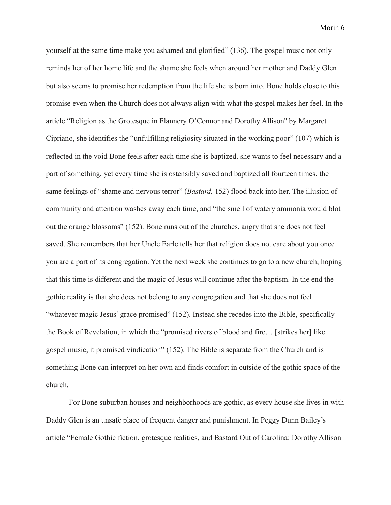yourself at the same time make you ashamed and glorified" (136). The gospel music not only reminds her of her home life and the shame she feels when around her mother and Daddy Glen but also seems to promise her redemption from the life she is born into. Bone holds close to this promise even when the Church does not always align with what the gospel makes her feel. In the article "Religion as the Grotesque in Flannery O'Connor and Dorothy Allison'' by Margaret Cipriano, she identifies the "unfulfilling religiosity situated in the working poor" (107) which is reflected in the void Bone feels after each time she is baptized. she wants to feel necessary and a part of something, yet every time she is ostensibly saved and baptized all fourteen times, the same feelings of "shame and nervous terror" (*Bastard,* 152) flood back into her. The illusion of community and attention washes away each time, and "the smell of watery ammonia would blot out the orange blossoms" (152). Bone runs out of the churches, angry that she does not feel saved. She remembers that her Uncle Earle tells her that religion does not care about you once you are a part of its congregation. Yet the next week she continues to go to a new church, hoping that this time is different and the magic of Jesus will continue after the baptism. In the end the gothic reality is that she does not belong to any congregation and that she does not feel "whatever magic Jesus' grace promised" (152). Instead she recedes into the Bible, specifically the Book of Revelation, in which the "promised rivers of blood and fire… [strikes her] like gospel music, it promised vindication" (152). The Bible is separate from the Church and is something Bone can interpret on her own and finds comfort in outside of the gothic space of the church.

For Bone suburban houses and neighborhoods are gothic, as every house she lives in with Daddy Glen is an unsafe place of frequent danger and punishment. In Peggy Dunn Bailey's article "Female Gothic fiction, grotesque realities, and Bastard Out of Carolina: Dorothy Allison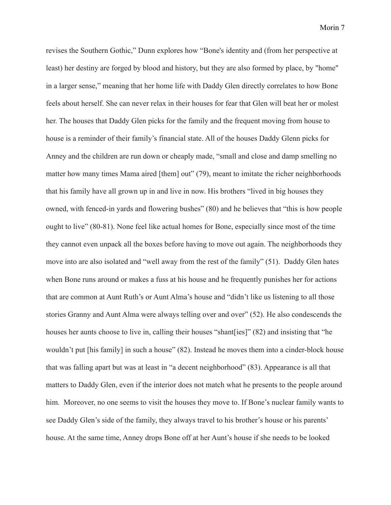revises the Southern Gothic," Dunn explores how "Bone's identity and (from her perspective at least) her destiny are forged by blood and history, but they are also formed by place, by "home" in a larger sense," meaning that her home life with Daddy Glen directly correlates to how Bone feels about herself. She can never relax in their houses for fear that Glen will beat her or molest her. The houses that Daddy Glen picks for the family and the frequent moving from house to house is a reminder of their family's financial state. All of the houses Daddy Glenn picks for Anney and the children are run down or cheaply made, "small and close and damp smelling no matter how many times Mama aired [them] out" (79), meant to imitate the richer neighborhoods that his family have all grown up in and live in now. His brothers "lived in big houses they owned, with fenced-in yards and flowering bushes" (80) and he believes that "this is how people ought to live" (80-81). None feel like actual homes for Bone, especially since most of the time they cannot even unpack all the boxes before having to move out again. The neighborhoods they move into are also isolated and "well away from the rest of the family" (51). Daddy Glen hates when Bone runs around or makes a fuss at his house and he frequently punishes her for actions that are common at Aunt Ruth's or Aunt Alma's house and "didn't like us listening to all those stories Granny and Aunt Alma were always telling over and over" (52). He also condescends the houses her aunts choose to live in, calling their houses "shant[ies]" (82) and insisting that "he wouldn't put [his family] in such a house" (82). Instead he moves them into a cinder-block house that was falling apart but was at least in "a decent neighborhood" (83). Appearance is all that matters to Daddy Glen, even if the interior does not match what he presents to the people around him. Moreover, no one seems to visit the houses they move to. If Bone's nuclear family wants to see Daddy Glen's side of the family, they always travel to his brother's house or his parents' house. At the same time, Anney drops Bone off at her Aunt's house if she needs to be looked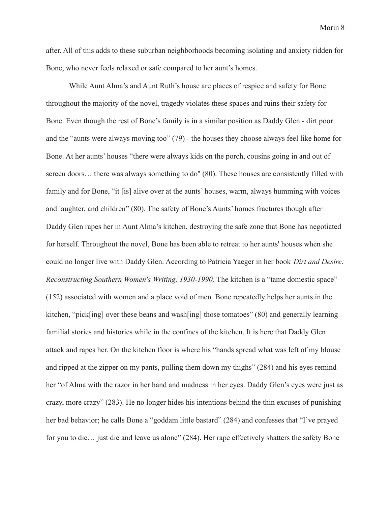after. All of this adds to these suburban neighborhoods becoming isolating and anxiety ridden for Bone, who never feels relaxed or safe compared to her aunt's homes.

While Aunt Alma's and Aunt Ruth's house are places of respice and safety for Bone throughout the majority of the novel, tragedy violates these spaces and ruins their safety for Bone. Even though the rest of Bone's family is in a similar position as Daddy Glen - dirt poor and the "aunts were always moving too" (79) - the houses they choose always feel like home for Bone. At her aunts' houses "there were always kids on the porch, cousins going in and out of screen doors... there was always something to do" (80). These houses are consistently filled with family and for Bone, "it [is] alive over at the aunts' houses, warm, always humming with voices and laughter, and children" (80). The safety of Bone's Aunts' homes fractures though after Daddy Glen rapes her in Aunt Alma's kitchen, destroying the safe zone that Bone has negotiated for herself. Throughout the novel, Bone has been able to retreat to her aunts' houses when she could no longer live with Daddy Glen. According to Patricia Yaeger in her book *Dirt and Desire: Reconstructing Southern Women's Writing, 1930-1990,* The kitchen is a "tame domestic space" (152) associated with women and a place void of men. Bone repeatedly helps her aunts in the kitchen, "pick[ing] over these beans and wash[ing] those tomatoes"  $(80)$  and generally learning familial stories and histories while in the confines of the kitchen. It is here that Daddy Glen attack and rapes her. On the kitchen floor is where his "hands spread what was left of my blouse and ripped at the zipper on my pants, pulling them down my thighs" (284) and his eyes remind her "of Alma with the razor in her hand and madness in her eyes. Daddy Glen's eyes were just as crazy, more crazy" (283). He no longer hides his intentions behind the thin excuses of punishing her bad behavior; he calls Bone a "goddam little bastard" (284) and confesses that "I've prayed for you to die... just die and leave us alone" (284). Her rape effectively shatters the safety Bone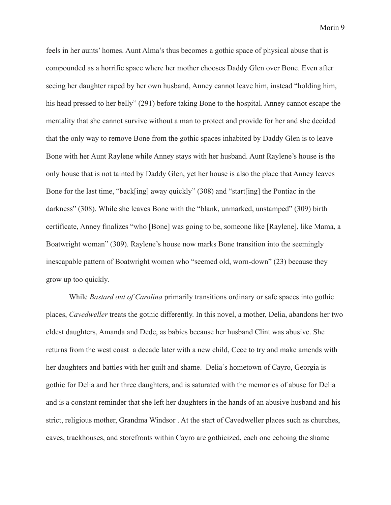feels in her aunts' homes. Aunt Alma's thus becomes a gothic space of physical abuse that is compounded as a horrific space where her mother chooses Daddy Glen over Bone. Even after seeing her daughter raped by her own husband, Anney cannot leave him, instead "holding him, his head pressed to her belly" (291) before taking Bone to the hospital. Anney cannot escape the mentality that she cannot survive without a man to protect and provide for her and she decided that the only way to remove Bone from the gothic spaces inhabited by Daddy Glen is to leave Bone with her Aunt Raylene while Anney stays with her husband. Aunt Raylene's house is the only house that is not tainted by Daddy Glen, yet her house is also the place that Anney leaves Bone for the last time, "back[ing] away quickly" (308) and "start[ing] the Pontiac in the darkness" (308). While she leaves Bone with the "blank, unmarked, unstamped" (309) birth certificate, Anney finalizes "who [Bone] was going to be, someone like [Raylene], like Mama, a Boatwright woman" (309). Raylene's house now marks Bone transition into the seemingly inescapable pattern of Boatwright women who "seemed old, worn-down" (23) because they grow up too quickly.

While *Bastard out of Carolina* primarily transitions ordinary or safe spaces into gothic places, *Cavedweller* treats the gothic differently. In this novel, a mother, Delia, abandons her two eldest daughters, Amanda and Dede, as babies because her husband Clint was abusive. She returns from the west coast a decade later with a new child, Cece to try and make amends with her daughters and battles with her guilt and shame. Delia's hometown of Cayro, Georgia is gothic for Delia and her three daughters, and is saturated with the memories of abuse for Delia and is a constant reminder that she left her daughters in the hands of an abusive husband and his strict, religious mother, Grandma Windsor . At the start of Cavedweller places such as churches, caves, trackhouses, and storefronts within Cayro are gothicized, each one echoing the shame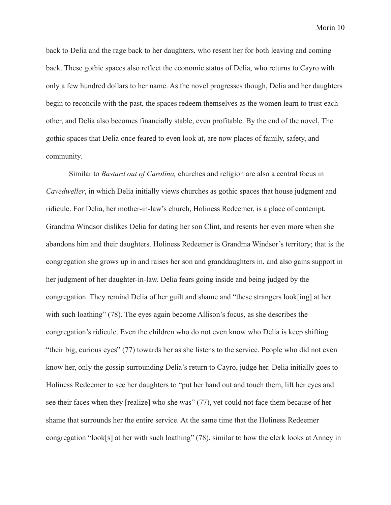back to Delia and the rage back to her daughters, who resent her for both leaving and coming back. These gothic spaces also reflect the economic status of Delia, who returns to Cayro with only a few hundred dollars to her name. As the novel progresses though, Delia and her daughters begin to reconcile with the past, the spaces redeem themselves as the women learn to trust each other, and Delia also becomes financially stable, even profitable. By the end of the novel, The gothic spaces that Delia once feared to even look at, are now places of family, safety, and community.

Similar to *Bastard out of Carolina,* churches and religion are also a central focus in *Cavedweller*, in which Delia initially views churches as gothic spaces that house judgment and ridicule. For Delia, her mother-in-law's church, Holiness Redeemer, is a place of contempt. Grandma Windsor dislikes Delia for dating her son Clint, and resents her even more when she abandons him and their daughters. Holiness Redeemer is Grandma Windsor's territory; that is the congregation she grows up in and raises her son and granddaughters in, and also gains support in her judgment of her daughter-in-law. Delia fears going inside and being judged by the congregation. They remind Delia of her guilt and shame and "these strangers look[ing] at her with such loathing" (78). The eyes again become Allison's focus, as she describes the congregation's ridicule. Even the children who do not even know who Delia is keep shifting "their big, curious eyes" (77) towards her as she listens to the service. People who did not even know her, only the gossip surrounding Delia's return to Cayro, judge her. Delia initially goes to Holiness Redeemer to see her daughters to "put her hand out and touch them, lift her eyes and see their faces when they [realize] who she was" (77), yet could not face them because of her shame that surrounds her the entire service. At the same time that the Holiness Redeemer congregation "look[s] at her with such loathing" (78), similar to how the clerk looks at Anney in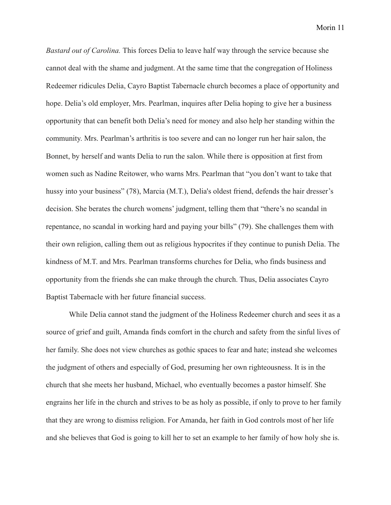*Bastard out of Carolina.* This forces Delia to leave half way through the service because she cannot deal with the shame and judgment. At the same time that the congregation of Holiness Redeemer ridicules Delia, Cayro Baptist Tabernacle church becomes a place of opportunity and hope. Delia's old employer, Mrs. Pearlman, inquires after Delia hoping to give her a business opportunity that can benefit both Delia's need for money and also help her standing within the community. Mrs. Pearlman's arthritis is too severe and can no longer run her hair salon, the Bonnet, by herself and wants Delia to run the salon. While there is opposition at first from women such as Nadine Reitower, who warns Mrs. Pearlman that "you don't want to take that hussy into your business" (78), Marcia (M.T.), Delia's oldest friend, defends the hair dresser's decision. She berates the church womens' judgment, telling them that "there's no scandal in repentance, no scandal in working hard and paying your bills" (79). She challenges them with their own religion, calling them out as religious hypocrites if they continue to punish Delia. The kindness of M.T. and Mrs. Pearlman transforms churches for Delia, who finds business and opportunity from the friends she can make through the church. Thus, Delia associates Cayro Baptist Tabernacle with her future financial success.

While Delia cannot stand the judgment of the Holiness Redeemer church and sees it as a source of grief and guilt, Amanda finds comfort in the church and safety from the sinful lives of her family. She does not view churches as gothic spaces to fear and hate; instead she welcomes the judgment of others and especially of God, presuming her own righteousness. It is in the church that she meets her husband, Michael, who eventually becomes a pastor himself. She engrains her life in the church and strives to be as holy as possible, if only to prove to her family that they are wrong to dismiss religion. For Amanda, her faith in God controls most of her life and she believes that God is going to kill her to set an example to her family of how holy she is.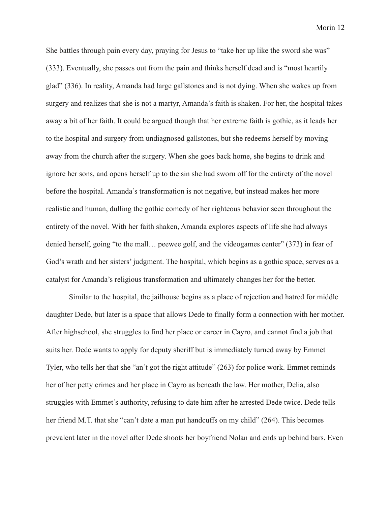She battles through pain every day, praying for Jesus to "take her up like the sword she was" (333). Eventually, she passes out from the pain and thinks herself dead and is "most heartily glad" (336). In reality, Amanda had large gallstones and is not dying. When she wakes up from surgery and realizes that she is not a martyr, Amanda's faith is shaken. For her, the hospital takes away a bit of her faith. It could be argued though that her extreme faith is gothic, as it leads her to the hospital and surgery from undiagnosed gallstones, but she redeems herself by moving away from the church after the surgery. When she goes back home, she begins to drink and ignore her sons, and opens herself up to the sin she had sworn off for the entirety of the novel before the hospital. Amanda's transformation is not negative, but instead makes her more realistic and human, dulling the gothic comedy of her righteous behavior seen throughout the entirety of the novel. With her faith shaken, Amanda explores aspects of life she had always denied herself, going "to the mall... peewee golf, and the videogames center" (373) in fear of God's wrath and her sisters' judgment. The hospital, which begins as a gothic space, serves as a catalyst for Amanda's religious transformation and ultimately changes her for the better.

Similar to the hospital, the jailhouse begins as a place of rejection and hatred for middle daughter Dede, but later is a space that allows Dede to finally form a connection with her mother. After highschool, she struggles to find her place or career in Cayro, and cannot find a job that suits her. Dede wants to apply for deputy sheriff but is immediately turned away by Emmet Tyler, who tells her that she "an't got the right attitude" (263) for police work. Emmet reminds her of her petty crimes and her place in Cayro as beneath the law. Her mother, Delia, also struggles with Emmet's authority, refusing to date him after he arrested Dede twice. Dede tells her friend M.T. that she "can't date a man put handcuffs on my child" (264). This becomes prevalent later in the novel after Dede shoots her boyfriend Nolan and ends up behind bars. Even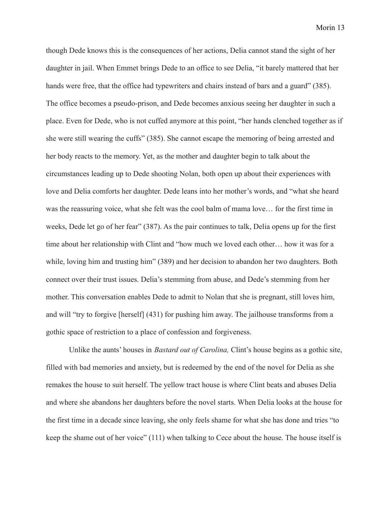though Dede knows this is the consequences of her actions, Delia cannot stand the sight of her daughter in jail. When Emmet brings Dede to an office to see Delia, "it barely mattered that her hands were free, that the office had typewriters and chairs instead of bars and a guard" (385). The office becomes a pseudo-prison, and Dede becomes anxious seeing her daughter in such a place. Even for Dede, who is not cuffed anymore at this point, "her hands clenched together as if she were still wearing the cuffs" (385). She cannot escape the memoring of being arrested and her body reacts to the memory. Yet, as the mother and daughter begin to talk about the circumstances leading up to Dede shooting Nolan, both open up about their experiences with love and Delia comforts her daughter. Dede leans into her mother's words, and "what she heard was the reassuring voice, what she felt was the cool balm of mama love… for the first time in weeks, Dede let go of her fear" (387). As the pair continues to talk, Delia opens up for the first time about her relationship with Clint and "how much we loved each other… how it was for a while, loving him and trusting him" (389) and her decision to abandon her two daughters. Both connect over their trust issues. Delia's stemming from abuse, and Dede's stemming from her mother. This conversation enables Dede to admit to Nolan that she is pregnant, still loves him, and will "try to forgive [herself] (431) for pushing him away. The jailhouse transforms from a gothic space of restriction to a place of confession and forgiveness.

Unlike the aunts' houses in *Bastard out of Carolina,* Clint's house begins as a gothic site, filled with bad memories and anxiety, but is redeemed by the end of the novel for Delia as she remakes the house to suit herself. The yellow tract house is where Clint beats and abuses Delia and where she abandons her daughters before the novel starts. When Delia looks at the house for the first time in a decade since leaving, she only feels shame for what she has done and tries "to keep the shame out of her voice" (111) when talking to Cece about the house. The house itself is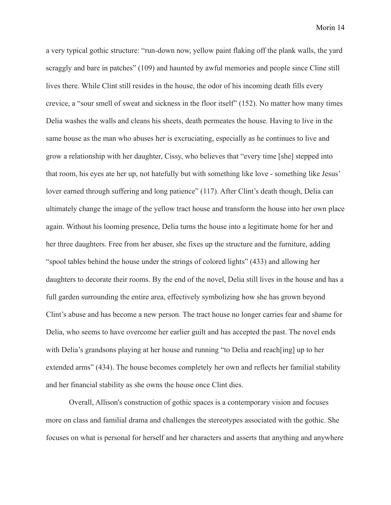a very typical gothic structure: "run-down now, yellow paint flaking off the plank walls, the yard scraggly and bare in patches" (109) and haunted by awful memories and people since Cline still lives there. While Clint still resides in the house, the odor of his incoming death fills every crevice, a "sour smell of sweat and sickness in the floor itself" (152). No matter how many times Delia washes the walls and cleans his sheets, death permeates the house. Having to live in the same house as the man who abuses her is excruciating, especially as he continues to live and grow a relationship with her daughter, Cissy, who believes that "every time [she] stepped into that room, his eyes ate her up, not hatefully but with something like love - something like Jesus' lover earned through suffering and long patience" (117). After Clint's death though, Delia can ultimately change the image of the yellow tract house and transform the house into her own place again. Without his looming presence, Delia turns the house into a legitimate home for her and her three daughters. Free from her abuser, she fixes up the structure and the furniture, adding "spool tables behind the house under the strings of colored lights" (433) and allowing her daughters to decorate their rooms. By the end of the novel, Delia still lives in the house and has a full garden surrounding the entire area, effectively symbolizing how she has grown beyond Clint's abuse and has become a new person. The tract house no longer carries fear and shame for Delia, who seems to have overcome her earlier guilt and has accepted the past. The novel ends with Delia's grandsons playing at her house and running "to Delia and reach[ing] up to her extended arms" (434). The house becomes completely her own and reflects her familial stability and her financial stability as she owns the house once Clint dies.

Overall, Allison's construction of gothic spaces is a contemporary vision and focuses more on class and familial drama and challenges the stereotypes associated with the gothic. She focuses on what is personal for herself and her characters and asserts that anything and anywhere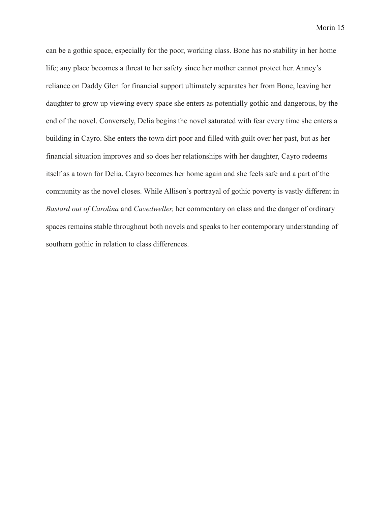can be a gothic space, especially for the poor, working class. Bone has no stability in her home life; any place becomes a threat to her safety since her mother cannot protect her. Anney's reliance on Daddy Glen for financial support ultimately separates her from Bone, leaving her daughter to grow up viewing every space she enters as potentially gothic and dangerous, by the end of the novel. Conversely, Delia begins the novel saturated with fear every time she enters a building in Cayro. She enters the town dirt poor and filled with guilt over her past, but as her financial situation improves and so does her relationships with her daughter, Cayro redeems itself as a town for Delia. Cayro becomes her home again and she feels safe and a part of the community as the novel closes. While Allison's portrayal of gothic poverty is vastly different in *Bastard out of Carolina* and *Cavedweller,* her commentary on class and the danger of ordinary spaces remains stable throughout both novels and speaks to her contemporary understanding of southern gothic in relation to class differences.